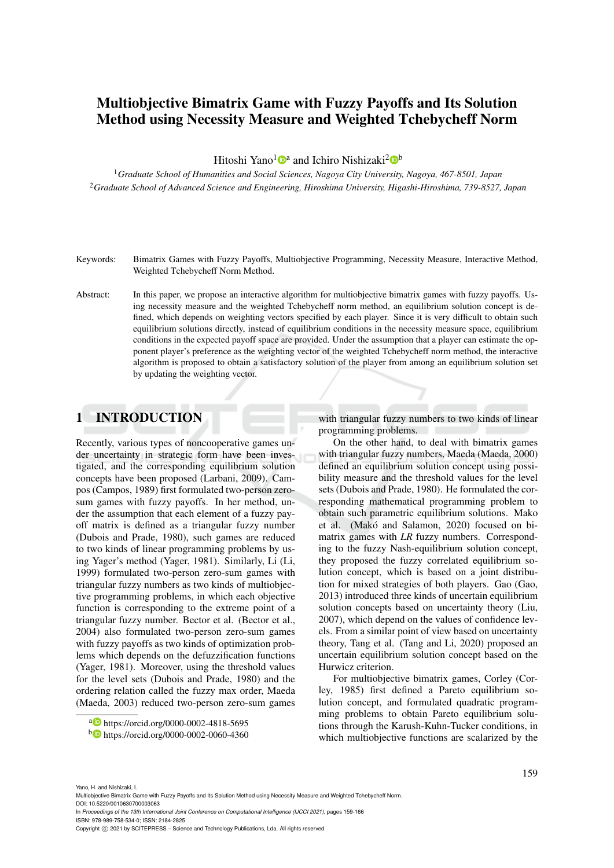# Multiobjective Bimatrix Game with Fuzzy Payoffs and Its Solution Method using Necessity Measure and Weighted Tchebycheff Norm

Hitoshi Yano<sup>1</sup><sup>®</sup> and Ichiro Nishizaki<sup>2</sup><sup>®</sup>

<sup>1</sup>*Graduate School of Humanities and Social Sciences, Nagoya City University, Nagoya, 467-8501, Japan* <sup>2</sup>*Graduate School of Advanced Science and Engineering, Hiroshima University, Higashi-Hiroshima, 739-8527, Japan*

- Keywords: Bimatrix Games with Fuzzy Payoffs, Multiobjective Programming, Necessity Measure, Interactive Method, Weighted Tchebycheff Norm Method.
- Abstract: In this paper, we propose an interactive algorithm for multiobjective bimatrix games with fuzzy payoffs. Using necessity measure and the weighted Tchebycheff norm method, an equilibrium solution concept is defined, which depends on weighting vectors specified by each player. Since it is very difficult to obtain such equilibrium solutions directly, instead of equilibrium conditions in the necessity measure space, equilibrium conditions in the expected payoff space are provided. Under the assumption that a player can estimate the opponent player's preference as the weighting vector of the weighted Tchebycheff norm method, the interactive algorithm is proposed to obtain a satisfactory solution of the player from among an equilibrium solution set by updating the weighting vector.

## 1 INTRODUCTION

Recently, various types of noncooperative games under uncertainty in strategic form have been investigated, and the corresponding equilibrium solution concepts have been proposed (Larbani, 2009). Campos (Campos, 1989) first formulated two-person zerosum games with fuzzy payoffs. In her method, under the assumption that each element of a fuzzy payoff matrix is defined as a triangular fuzzy number (Dubois and Prade, 1980), such games are reduced to two kinds of linear programming problems by using Yager's method (Yager, 1981). Similarly, Li (Li, 1999) formulated two-person zero-sum games with triangular fuzzy numbers as two kinds of multiobjective programming problems, in which each objective function is corresponding to the extreme point of a triangular fuzzy number. Bector et al. (Bector et al., 2004) also formulated two-person zero-sum games with fuzzy payoffs as two kinds of optimization problems which depends on the defuzzification functions (Yager, 1981). Moreover, using the threshold values for the level sets (Dubois and Prade, 1980) and the ordering relation called the fuzzy max order, Maeda (Maeda, 2003) reduced two-person zero-sum games

with triangular fuzzy numbers to two kinds of linear programming problems.

On the other hand, to deal with bimatrix games with triangular fuzzy numbers, Maeda (Maeda, 2000) defined an equilibrium solution concept using possibility measure and the threshold values for the level sets (Dubois and Prade, 1980). He formulated the corresponding mathematical programming problem to obtain such parametric equilibrium solutions. Mako et al. (Makó and Salamon, 2020) focused on bimatrix games with *LR* fuzzy numbers. Corresponding to the fuzzy Nash-equilibrium solution concept, they proposed the fuzzy correlated equilibrium solution concept, which is based on a joint distribution for mixed strategies of both players. Gao (Gao, 2013) introduced three kinds of uncertain equilibrium solution concepts based on uncertainty theory (Liu, 2007), which depend on the values of confidence levels. From a similar point of view based on uncertainty theory, Tang et al. (Tang and Li, 2020) proposed an uncertain equilibrium solution concept based on the Hurwicz criterion.

For multiobjective bimatrix games, Corley (Corley, 1985) first defined a Pareto equilibrium solution concept, and formulated quadratic programming problems to obtain Pareto equilibrium solutions through the Karush-Kuhn-Tucker conditions, in which multiobjective functions are scalarized by the

Multiobjective Bimatrix Game with Fuzzy Payoffs and Its Solution Method using Necessity Measure and Weighted Tchebycheff Norm.

DOI: 10.5220/0010630700003063 In *Proceedings of the 13th International Joint Conference on Computational Intelligence (IJCCI 2021)*, pages 159-166

ISBN: 978-989-758-534-0; ISSN: 2184-2825

Yano, H. and Nishizaki, I.

a https://orcid.org/0000-0002-4818-5695

<sup>b</sup> https://orcid.org/0000-0002-0060-4360

Copyright (C) 2021 by SCITEPRESS - Science and Technology Publications, Lda. All rights reserved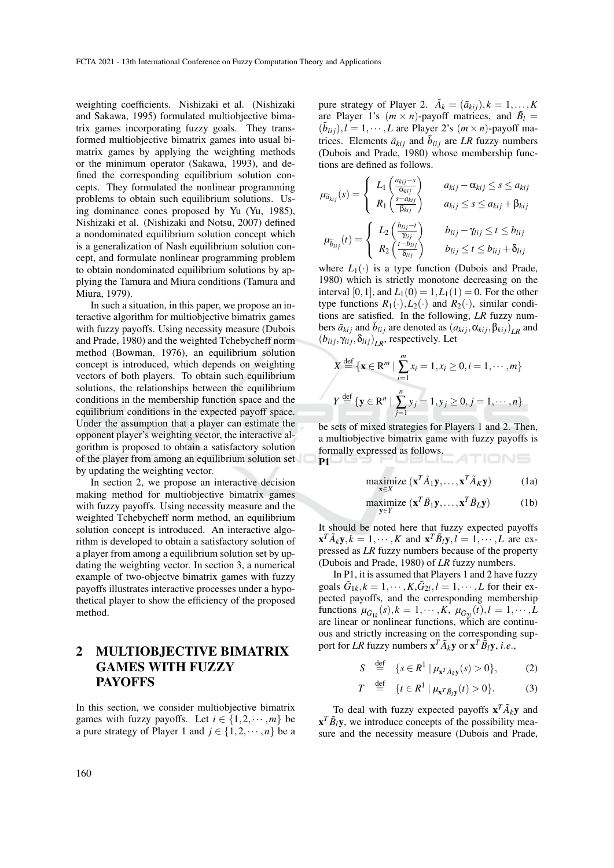weighting coefficients. Nishizaki et al. (Nishizaki and Sakawa, 1995) formulated multiobjective bimatrix games incorporating fuzzy goals. They transformed multiobjective bimatrix games into usual bimatrix games by applying the weighting methods or the minimum operator (Sakawa, 1993), and defined the corresponding equilibrium solution concepts. They formulated the nonlinear programming problems to obtain such equilibrium solutions. Using dominance cones proposed by Yu (Yu, 1985), Nishizaki et al. (Nishizaki and Notsu, 2007) defined a nondominated equilibrium solution concept which is a generalization of Nash equilibrium solution concept, and formulate nonlinear programming problem to obtain nondominated equilibrium solutions by applying the Tamura and Miura conditions (Tamura and Miura, 1979).

In such a situation, in this paper, we propose an interactive algorithm for multiobjective bimatrix games with fuzzy payoffs. Using necessity measure (Dubois and Prade, 1980) and the weighted Tchebycheff norm method (Bowman, 1976), an equilibrium solution concept is introduced, which depends on weighting vectors of both players. To obtain such equilibrium solutions, the relationships between the equilibrium conditions in the membership function space and the equilibrium conditions in the expected payoff space. Under the assumption that a player can estimate the opponent player's weighting vector, the interactive algorithm is proposed to obtain a satisfactory solution of the player from among an equilibrium solution set by updating the weighting vector.

In section 2, we propose an interactive decision making method for multiobjective bimatrix games with fuzzy payoffs. Using necessity measure and the weighted Tchebycheff norm method, an equilibrium solution concept is introduced. An interactive algorithm is developed to obtain a satisfactory solution of a player from among a equilibrium solution set by updating the weighting vector. In section 3, a numerical example of two-objectve bimatrix games with fuzzy payoffs illustrates interactive processes under a hypothetical player to show the efficiency of the proposed method.

## 2 MULTIOBJECTIVE BIMATRIX GAMES WITH FUZZY PAYOFFS

In this section, we consider multiobjective bimatrix games with fuzzy payoffs. Let  $i \in \{1, 2, \dots, m\}$  be a pure strategy of Player 1 and  $j \in \{1, 2, \dots, n\}$  be a pure strategy of Player 2.  $\tilde{A}_k = (\tilde{a}_{kij}), k = 1, \ldots, K$ are Player 1's  $(m \times n)$ -payoff matrices, and  $\tilde{B}_l$  =  $(\tilde{b}_{lij}), l = 1, \cdots, L$  are Player 2's  $(m \times n)$ -payoff matrices. Elements  $\tilde{a}_{kij}$  and  $\tilde{b}_{lij}$  are *LR* fuzzy numbers (Dubois and Prade, 1980) whose membership functions are defined as follows.

$$
\mu_{\tilde{a}_{kij}}(s) = \begin{cases}\nL_1 \left( \frac{a_{kij} - s}{\alpha_{kij}} \right) & a_{kij} - \alpha_{kij} \le s \le a_{kij} \\
R_1 \left( \frac{s - a_{kij}}{\beta_{kij}} \right) & a_{kij} \le s \le a_{kij} + \beta_{kij} \\
L_2 \left( \frac{b_{lij} - t}{\gamma_{lij}} \right) & b_{lij} - \gamma_{lij} \le t \le b_{lij} \\
R_2 \left( \frac{t - b_{lij}}{\delta_{lij}} \right) & b_{lij} \le t \le b_{lij} + \delta_{lij}\n\end{cases}
$$

where  $L_1(\cdot)$  is a type function (Dubois and Prade, 1980) which is strictly monotone decreasing on the interval [0, 1], and  $L_1(0) = 1, L_1(1) = 0$ . For the other type functions  $R_1(\cdot), L_2(\cdot)$  and  $R_2(\cdot)$ , similar conditions are satisfied. In the following, *LR* fuzzy numbers  $\tilde{a}_{kij}$  and  $\tilde{b}_{lij}$  are denoted as  $(a_{kij}, \alpha_{kij}, \beta_{kij})_{LR}$  and  $(b_{lij}, \gamma_{lij}, \delta_{lij})_{LR}$ , respectively. Let

$$
X \stackrel{\text{def}}{=} {\mathbf{x} \in \mathbb{R}^m \mid \sum_{i=1}^m x_i = 1, x_i \ge 0, i = 1, \cdots, m}
$$
  

$$
Y \stackrel{\text{def}}{=} {\mathbf{y} \in \mathbb{R}^n \mid \sum_{j=1}^n y_j = 1, y_j \ge 0, j = 1, \cdots, n}
$$

be sets of mixed strategies for Players 1 and 2. Then, a multiobjective bimatrix game with fuzzy payoffs is formally expressed as follows. TIONS P1

$$
\underset{\mathbf{x} \in X}{\text{maximize}} (\mathbf{x}^T \tilde{A}_1 \mathbf{y}, \dots, \mathbf{x}^T \tilde{A}_K \mathbf{y})
$$
(1a)

$$
\underset{\mathbf{y}\in Y}{\text{maximize}} (\mathbf{x}^T \tilde{B}_1 \mathbf{y}, \dots, \mathbf{x}^T \tilde{B}_L \mathbf{y})
$$
 (1b)

It should be noted here that fuzzy expected payoffs  $\mathbf{x}^T \tilde{A}_k \mathbf{y}, k = 1, \cdots, K$  and  $\mathbf{x}^T \tilde{B}_l \mathbf{y}, l = 1, \cdots, L$  are expressed as *LR* fuzzy numbers because of the property (Dubois and Prade, 1980) of *LR* fuzzy numbers.

In P1, it is assumed that Players 1 and 2 have fuzzy goals  $\tilde{G}_{1k}$ ,  $k = 1, \dots, K$ ,  $\tilde{G}_{2l}$ ,  $l = 1, \dots, L$  for their expected payoffs, and the corresponding membership functions  $\mu_{\tilde{G}_{1k}}(s)$ ,  $k = 1, \dots, K$ ,  $\mu_{\tilde{G}_{2l}}(t)$ ,  $l = 1, \dots, L$ are linear or nonlinear functions, which are continuous and strictly increasing on the corresponding support for *LR* fuzzy numbers  $\mathbf{x}^T \tilde{A}_k \mathbf{y}$  or  $\mathbf{x}^T \tilde{B}_l \mathbf{y}$ , *i.e.*,

$$
S \stackrel{\text{def}}{=} \{ s \in R^1 \mid \mu_{\mathbf{x}^T \tilde{A}_k \mathbf{y}}(s) > 0 \}, \tag{2}
$$

$$
T \stackrel{\text{def}}{=} \{t \in R^1 \mid \mu_{\mathbf{x}^T \tilde{B}_l \mathbf{y}}(t) > 0\}. \tag{3}
$$

To deal with fuzzy expected payoffs  $\mathbf{x}^T \tilde{A}_k \mathbf{y}$  and  $\mathbf{x}^T \tilde{B}_l \mathbf{y}$ , we introduce concepts of the possibility measure and the necessity measure (Dubois and Prade,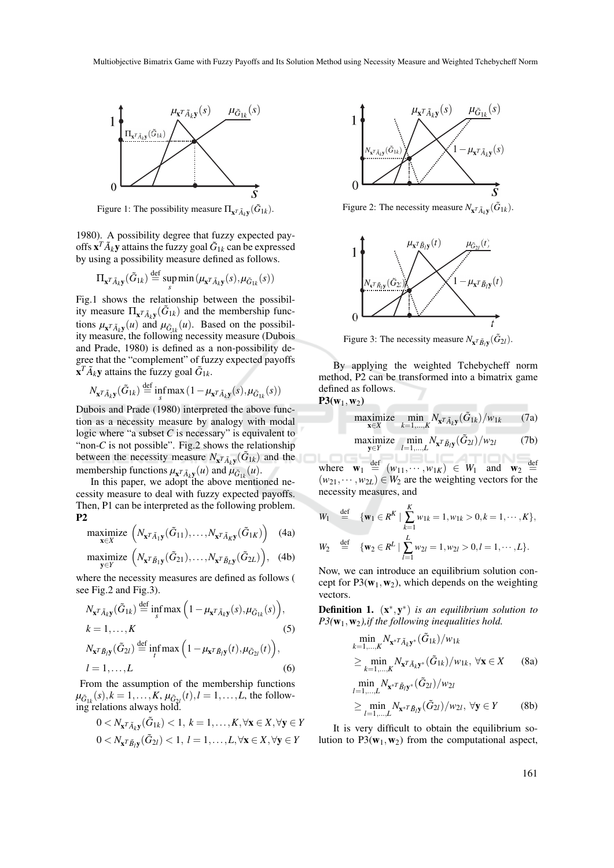

Figure 1: The possibility measure  $\Pi_{\mathbf{x}^T \tilde{A}_k \mathbf{y}}(\tilde{G}_{1k})$ .

1980). A possibility degree that fuzzy expected payoffs  $\mathbf{x}^T \tilde{A}_k \mathbf{y}$  attains the fuzzy goal  $\tilde{G}_{1k}$  can be expressed by using a possibility measure defined as follows.

$$
\Pi_{\mathbf{x}^T \tilde{A}_k \mathbf{y}}(\tilde{G}_{1k}) \stackrel{\text{def}}{=} \sup_s \min (\mu_{\mathbf{x}^T \tilde{A}_k \mathbf{y}}(s), \mu_{\tilde{G}_{1k}}(s))
$$

Fig.1 shows the relationship between the possibility measure  $\Pi_{\mathbf{x}^T \tilde{A}_k \mathbf{y}}(\tilde{G}_{1k})$  and the membership functions  $\mu_{\mathbf{x}^T \tilde{A}_k \mathbf{y}}(u)$  and  $\mu_{\tilde{G}_{1k}}(u)$ . Based on the possibility measure, the following necessity measure (Dubois and Prade, 1980) is defined as a non-possibility degree that the "complement" of fuzzy expected payoffs  $\mathbf{x}^T \tilde{A}_k \mathbf{y}$  attains the fuzzy goal  $\tilde{G}_{1k}$ .

$$
N_{\mathbf{x}^T \tilde{A}_k \mathbf{y}}(\tilde{G}_{1k}) \stackrel{\text{def}}{=} \inf_{s} \max(1 - \mu_{\mathbf{x}^T \tilde{A}_k \mathbf{y}}(s), \mu_{\tilde{G}_{1k}}(s))
$$

Dubois and Prade (1980) interpreted the above function as a necessity measure by analogy with modal logic where "a subset *C* is necessary" is equivalent to "non- $C$  is not possible". Fig.2 shows the relationship between the necessity measure  $N_{\mathbf{x}^T \tilde{A}_k \mathbf{y}}(\tilde{G}_{1k})$  and the membership functions  $\mu_{\mathbf{x}^T \tilde{A}_k \mathbf{y}}(u)$  and  $\mu_{\tilde{G}_{1k}}(u)$ .

In this paper, we adopt the above mentioned necessity measure to deal with fuzzy expected payoffs. Then, P1 can be interpreted as the following problem. P2

$$
\underset{\mathbf{x}\in X}{\text{maximize}} \left(N_{\mathbf{x}^T\tilde{A}_1\mathbf{y}}(\tilde{G}_{11}),\ldots,N_{\mathbf{x}^T\tilde{A}_K\mathbf{y}}(\tilde{G}_{1K})\right) \quad (4a)
$$

$$
\underset{\mathbf{y}\in Y}{\text{maximize}} \left(N_{\mathbf{x}^T\tilde{B}_1\mathbf{y}}(\tilde{G}_{21}),\ldots,N_{\mathbf{x}^T\tilde{B}_L\mathbf{y}}(\tilde{G}_{2L})\right), (4b)
$$

where the necessity measures are defined as follows ( see Fig.2 and Fig.3).

$$
N_{\mathbf{x}^T \tilde{A}_k \mathbf{y}}(\tilde{G}_{1k}) \stackrel{\text{def}}{=} \inf_s \max\left(1 - \mu_{\mathbf{x}^T \tilde{A}_k \mathbf{y}}(s), \mu_{\tilde{G}_{1k}}(s)\right),
$$
  
\n
$$
k = 1, ..., K
$$
  
\n
$$
N_{\mathbf{x}^T \tilde{B}_l \mathbf{y}}(\tilde{G}_{2l}) \stackrel{\text{def}}{=} \inf_t \max\left(1 - \mu_{\mathbf{x}^T \tilde{B}_l \mathbf{y}}(t), \mu_{\tilde{G}_{2l}}(t)\right),
$$
  
\n
$$
l = 1, ..., L
$$
  
\n(6)

From the assumption of the membership functions  $\mu_{\tilde{G}_{1k}}(s), k = 1, \ldots, K, \mu_{\tilde{G}_{2l}}(t), l = 1, \ldots, L$ , the following relations always hold.

$$
0 < N_{\mathbf{x}^T \tilde{A}_k \mathbf{y}}(\tilde{G}_{1k}) < 1, \ k = 1, \ldots, K, \forall \mathbf{x} \in X, \forall \mathbf{y} \in Y
$$
\n
$$
0 < N_{\mathbf{x}^T \tilde{B}_l \mathbf{y}}(\tilde{G}_{2l}) < 1, \ l = 1, \ldots, L, \forall \mathbf{x} \in X, \forall \mathbf{y} \in Y
$$



Figure 2: The necessity measure  $N_{\mathbf{x}^T \tilde{A}_k \mathbf{y}}(\tilde{G}_{1k})$ .



Figure 3: The necessity measure  $N_{\mathbf{x}^T \tilde{B}_l \mathbf{y}}(\tilde{G}_{2l})$ .

By applying the weighted Tchebycheff norm method, P2 can be transformed into a bimatrix game defined as follows.  $P3(w_1, w_2)$ 

maximize 
$$
\min_{\mathbf{x} \in X} N_{\mathbf{x}^T \tilde{A}_k \mathbf{y}}(\tilde{G}_{1k})/w_{1k}
$$
 (7a)  
maximize  $\min_{\mathbf{y} \in Y} N_{\mathbf{x}^T \tilde{B}_l \mathbf{y}}(\tilde{G}_{2l})/w_{2l}$  (7b)

where  $\mathbf{w}_1 \stackrel{\text{def}}{=} (w_{11}, \cdots, w_{1K}) \in W_1$  and  $\mathbf{w}_2$ def  $(w_{21}, \dots, w_{2L}) \in W_2$  are the weighting vectors for the necessity measures, and

$$
W_1 \stackrel{\text{def}}{=} \{ \mathbf{w}_1 \in R^K \mid \sum_{k=1}^K w_{1k} = 1, w_{1k} > 0, k = 1, \cdots, K \},
$$
  

$$
W_2 \stackrel{\text{def}}{=} \{ \mathbf{w}_2 \in R^L \mid \sum_{l=1}^L w_{2l} = 1, w_{2l} > 0, l = 1, \cdots, L \}.
$$

Now, we can introduce an equilibrium solution concept for  $P3(\mathbf{w}_1,\mathbf{w}_2)$ , which depends on the weighting vectors.

**Definition 1.**  $(x^*, y^*)$  *is an equilibrium solution to P3(*w1,w2*),if the following inequalities hold.*

$$
\min_{k=1,...,K} N_{\mathbf{x}^{*T} \tilde{A}_k \mathbf{y}^*} (\tilde{G}_{1k})/w_{1k}
$$
\n
$$
\geq \min_{k=1,...,K} N_{\mathbf{x}^{T} \tilde{A}_k \mathbf{y}^*} (\tilde{G}_{1k})/w_{1k}, \forall \mathbf{x} \in X \qquad (8a)
$$
\n
$$
\min_{l=1,...,L} N_{\mathbf{x}^{*T} \tilde{B}_l \mathbf{y}^*} (\tilde{G}_{2l})/w_{2l}
$$
\n
$$
\geq \min_{l=1,...,L} N_{\mathbf{x}^{*T} \tilde{B}_l \mathbf{y}} (\tilde{G}_{2l})/w_{2l}, \forall \mathbf{y} \in Y \qquad (8b)
$$

It is very difficult to obtain the equilibrium solution to  $P3(\mathbf{w}_1, \mathbf{w}_2)$  from the computational aspect,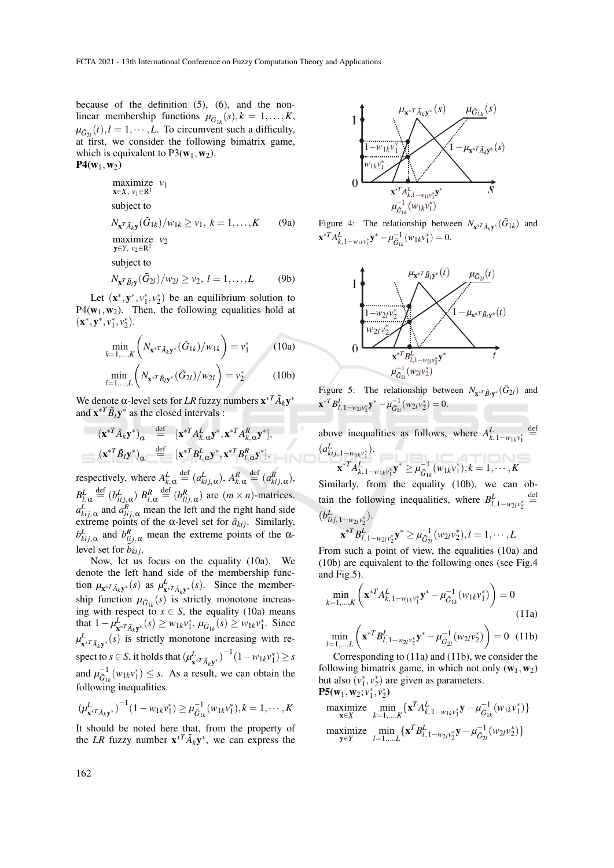because of the definition (5), (6), and the nonlinear membership functions  $\mu_{\tilde{G}_{1k}}(s)$ ,  $k = 1, ..., K$ ,  $\mu_{\tilde{G}_{2l}}(t), l = 1, \cdots, L$ . To circumvent such a difficulty, at first, we consider the following bimatrix game, which is equivalent to  $P3(\mathbf{w}_1,\mathbf{w}_2)$ .  $P4(w_1, w_2)$ 

maximize 
$$
v_1
$$
  
\n $\mathbf{x} \in X, v_1 \in \mathbb{R}^1$   
\nsubject to  
\n $N_{\mathbf{x}^T \tilde{A}_k \mathbf{y}}(\tilde{G}_{1k})/w_{1k} \ge v_1, k = 1,..., K$  (9a)  
\nmaximize  $v_2$   
\nsubject to  
\n $N_{\mathbf{x}^T \tilde{B}_l \mathbf{y}}(\tilde{G}_{2l})/w_{2l} \ge v_2, l = 1,..., L$  (9b)

Let  $(\mathbf{x}^*, \mathbf{y}^*, v_1^*, v_2^*)$  be an equilibrium solution to  $P4(\mathbf{w}_1,\mathbf{w}_2)$ . Then, the following equalities hold at  $(\mathbf{x}^*, \mathbf{y}^*, v_1^*, v_2^*).$ 

$$
\min_{k=1,\dots,K} \left( N_{\mathbf{x}^{*T} \tilde{A}_k \mathbf{y}^*} (\tilde{G}_{1k})/w_{1k} \right) = v_1^*
$$
\n(10a)

\n
$$
\min_{l=1,\dots,L} \left( N_{\mathbf{x}^{*T} \tilde{B}_l \mathbf{y}^*} (\tilde{G}_{2l})/w_{2l} \right) = v_2^*
$$
\n(10b)

We denote α-level sets for *LR* fuzzy numbers  $\mathbf{x}^{*T} \tilde{A}_k \mathbf{y}^*$ and  $\mathbf{x}^{*T} \tilde{B}_l \mathbf{y}^*$  as the closed intervals :

$$
(\mathbf{x}^{*T}\tilde{A}_k\mathbf{y}^*)_{\alpha} \stackrel{\text{def}}{=} [\mathbf{x}^{*T}A_{k,\alpha}^L\mathbf{y}^*, \mathbf{x}^{*T}A_{k,\alpha}^R\mathbf{y}^*],
$$

$$
(\mathbf{x}^{*T}\tilde{B}_l\mathbf{y}^*)_{\alpha} \stackrel{\text{def}}{=} [\mathbf{x}^{*T}B_{l,\alpha}^L\mathbf{y}^*, \mathbf{x}^{*T}B_{l,\alpha}^R\mathbf{y}^*],
$$

respectively, where  $A_{k,\alpha}^L \stackrel{\text{def}}{=} (a_{kij,\alpha}^L), A_{k,\alpha}^R \stackrel{\text{def}}{=} (a_{kij,\alpha}^R),$  $B_{l,\alpha}^L \stackrel{\text{def}}{=} (b_{lij,\alpha}^L) \; B_{l,\alpha}^R \stackrel{\text{def}}{=} (b_{lij,\alpha}^R) \; \text{are} \; (m \times n) \text{-matrices}.$  $a_{kij,\alpha}^L$  and  $a_{lij,\alpha}^R$  mean the left and the right hand side extreme points of the  $\alpha$ -level set for  $\tilde{a}_{kij}$ . Similarly, *b*<sup>*L</sup>*</sup>*i*<sub>*i*</sub>,α and *b*<sup>*R*</sup><sub>*li*</sub>,α mean the extreme points of the αlevel set for  $\tilde{b}_{kij}$ .

Now, let us focus on the equality (10a). We denote the left hand side of the membership function  $\mu_{\mathbf{x}^*} r_{\tilde{A}_k \mathbf{y}^*}(s)$  as  $\mu_{\mathbf{x}^*}^L r_{\tilde{A}_k \mathbf{y}^*}(s)$ . Since the membership function  $\mu_{\tilde{G}_{1k}}(s)$  is strictly monotone increasing with respect to  $s \in S$ , the equality (10a) means that  $1 - \mu_{\mathbf{x}^* T \tilde{A}_k \mathbf{y}^*}^{\mathbf{x}}(s) \geq w_{1k} v_1^*, \mu_{\tilde{G}_{1k}}(s) \geq w_{1k} v_1^*.$  Since  $\mu^L_{\mathbf{x}^{*T} \tilde{A}_k \mathbf{y}^*}(s)$  is strictly monotone increasing with respect to *s*  $\in$  *S*, it holds that  $(\mu^L_{\mathbf{x}^{*T} \bar{A}_k \mathbf{y}^*})^{-1} (1 - w_{1k} v_1^*) \ge s$ and  $\mu_{\tilde{G}_{1k}}^{-1}(w_{1k}v_1^*) \leq s$ . As a result, we can obtain the following inequalities.

$$
(\mu_{\mathbf{x}^{*T}\tilde{A}_k\mathbf{y}^*}^L)^{-1}(1-w_{1k}v_1^*) \geq \mu_{\tilde{G}_{1k}}^{-1}(w_{1k}v_1^*), k=1,\cdots,K
$$

It should be noted here that, from the property of the *LR* fuzzy number  $\mathbf{x}^{*T} \tilde{A}_k \mathbf{y}^*$ , we can express the



Figure 4: The relationship between  $N_{\mathbf{x}^*} \tilde{A}_k \mathbf{y}^*$  ( $\tilde{G}_{1k}$ ) and  $\mathbf{x}^{*T} A_{k,1-w_{1k}v_1^*}^{\mathbf{L}} \mathbf{y}^* - \mu_{\tilde{G}_{1k}}^{-1}(w_{1k}v_1^*) = 0.$ 



Figure 5: The relationship between  $N_{\mathbf{x}^* \mathcal{I} \tilde{B}_l \mathbf{y}^*}(\tilde{G}_{2l})$  and  $\mathbf{x}^{*T} B_{l,1-w_{2l}v_2^*}^L \mathbf{y}^* - \mu_{\tilde{G}_{2l}}^{-1}(w_{2l}v_2^*) = 0.$ 

above inequalities as follows, where  $A_{k,1-w_{1k}v_1^*}^L$  $\stackrel{\text{def}}{=}$  $(a_{kij,1-w_{1k}v_1^*}^L)$ .

$$
\mathbf{x}^{*T} A_{k,1-w_{1k}v_1^*}^{\mathbf{L}} \mathbf{y}^* \geq \mu_{\tilde{G}_{1k}}^{-1}(w_{1k}v_1^*), k = 1, \cdots, K
$$

 $\lim_{k}$ ,  $1 - w_{1k}v_{1} = -v_{1k}$ ,  $\lim_{k}$  177 Similarly, from the equality (10b), we can obtain the following inequalities, where  $B_{l,1-w_2}\nu_2^* \stackrel{\text{def}}{=}$  $(b_{lij,1-w_{2l}v_2^*}^L)$ .

$$
\mathbf{x}^{*T} B_{l,1-w_2l}^L v_2^* \mathbf{y}^* \ge \mu_{\tilde{G}_{2l}}^{-1} (w_2 l v_2^*), l = 1, \cdots, L
$$

From such a point of view, the equalities (10a) and (10b) are equivalent to the following ones (see Fig.4 and Fig.5).

$$
\min_{k=1,\dots,K} \left( \mathbf{x}^{*T} A_{k,1-w_{1k}v_1^*}^L \mathbf{y}^* - \mu_{\tilde{G}_{1k}}^{-1} (w_{1k}v_1^*) \right) = 0
$$
\n(11a)

$$
\min_{l=1,\dots,L} \left( \mathbf{x}^{*T} B_{l,1-w_{2l}v_{2}^{*}}^{L} \mathbf{y}^{*} - \mu_{\tilde{G}_{2l}}^{-1} (w_{2l}v_{2}^{*}) \right) = 0 \quad (11b)
$$

Corresponding to (11a) and (11b), we consider the following bimatrix game, in which not only  $(w_1, w_2)$ but also  $(v_1^*, v_2^*)$  are given as parameters.  $P5(w_1, w_2; v_1^*, v_2^*)$ 

$$
\begin{array}{ll}\n\text{maximize} & \min_{\mathbf{x} \in X} \{ \mathbf{x}^T A_{k,1-w_{1k}v_1^*}^T \mathbf{y} - \mu_{\tilde{G}_{1k}}^{-1} (w_{1k}v_1^*) \} \\
\text{maximize} & \min_{\mathbf{y} \in Y} \{ \mathbf{x}^T B_{l,1-w_{2l}v_2^*}^T \mathbf{y} - \mu_{\tilde{G}_{2l}}^{-1} (w_{2l}v_2^*) \} \n\end{array}
$$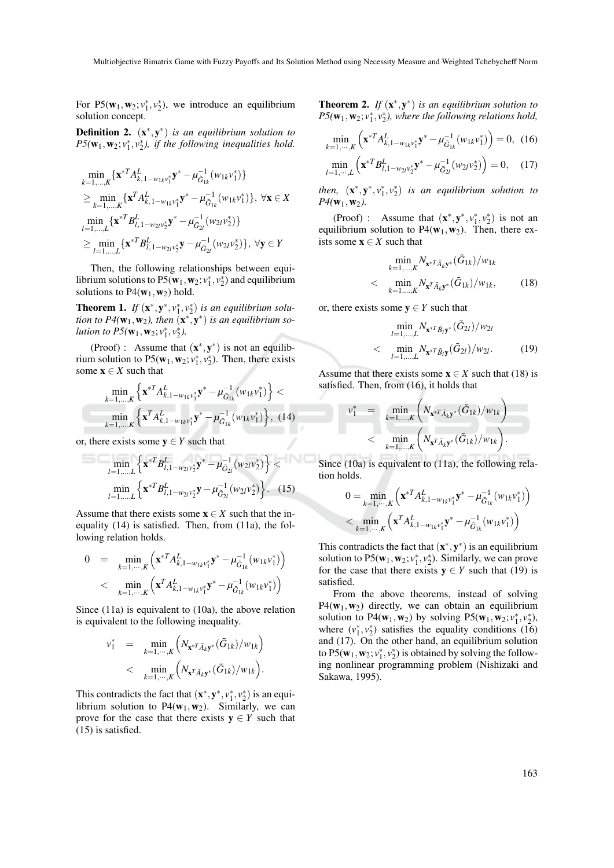For  $P5(w_1, w_2; v_1^*, v_2^*)$ , we introduce an equilibrium solution concept.

**Definition 2.** (**x**<sup>\*</sup>, **y**<sup>\*</sup>) *is an equilibrium solution to*  $P5(\mathbf{w}_1, \mathbf{w}_2; v_1^*, v_2^*)$ , if the following inequalities hold.

$$
\begin{aligned} & \min_{k=1,...,K}\{\mathbf{x}^{*T}A_{k,1-w_{1k}v_{1}^{*}}^{L}\mathbf{y}^{*}-\mu_{\tilde{G}_{1k}}^{-1}(w_{1k}v_{1}^{*})\}\\ & \geq \min_{k=1,...,K}\{\mathbf{x}^{T}A_{k,1-w_{1k}v_{1}^{*}}^{L}\mathbf{y}^{*}-\mu_{\tilde{G}_{1k}}^{-1}(w_{1k}v_{1}^{*})\},\ \forall \mathbf{x}\in X\\ & \min_{l=1,...,L}\{\mathbf{x}^{*T}B_{l,1-w_{2l}v_{2}^{*}}^{L}\mathbf{y}^{*}-\mu_{\tilde{G}_{2l}}^{-1}(w_{2l}v_{2}^{*})\}\\ & \geq \min_{l=1,...,L}\{\mathbf{x}^{*T}B_{l,1-w_{2l}v_{2}^{*}}^{L}\mathbf{y}-\mu_{\tilde{G}_{2l}}^{-1}(w_{2l}v_{2}^{*})\},\ \forall \mathbf{y}\in Y\end{aligned}
$$

Then, the following relationships between equilibrium solutions to  $P5(\mathbf{w}_1, \mathbf{w}_2; v_1^*, v_2^*)$  and equilibrium solutions to  $P4(\mathbf{w}_1,\mathbf{w}_2)$  hold.

**Theorem 1.** *If*  $(\mathbf{x}^*, \mathbf{y}^*, v_1^*, v_2^*)$  *is an equilibrium solution to P4*( $w_1, w_2$ ), then  $(x^*, y^*)$  *is an equilibrium solution to P5*( $w_1, w_2; v_1^*, v_2^*$ ).

(Proof) : Assume that  $(\mathbf{x}^*, \mathbf{y}^*)$  is not an equilibrium solution to  $P5(w_1, w_2; v_1^*, v_2^*)$ . Then, there exists some  $x \in X$  such that

$$
\min_{k=1,\dots,K} \left\{ \mathbf{x}^{*T} A_{k,1-w_{1k}v_1^*}^t \mathbf{y}^* - \mu_{\tilde{G}_{1k}}^{-1} (w_{1k}v_1^*) \right\} < \min_{k=1,\dots,K} \left\{ \mathbf{x}^T A_{k,1-w_{1k}v_1^*}^t \mathbf{y}^* - \mu_{\tilde{G}_{1k}}^{-1} (w_{1k}v_1^*) \right\}, \quad (14)
$$

or, there exists some  $y \in Y$  such that

$$
\min_{l=1,\dots,L} \left\{ \mathbf{x}^{*T} B_{l,1-w_{2l}v_{2}^{*}}^{L} \mathbf{y}^{*} - \mu_{\tilde{G}_{2l}}^{-1} (w_{2l}v_{2}^{*}) \right\} < \min_{l=1,\dots,L} \left\{ \mathbf{x}^{*T} B_{l,1-w_{2l}v_{2}^{*}}^{L} \mathbf{y} - \mu_{\tilde{G}_{2l}}^{-1} (w_{2l}v_{2}^{*}) \right\}. \quad (15)
$$

Assume that there exists some  $x \in X$  such that the inequality (14) is satisfied. Then, from (11a), the following relation holds.

$$
0 = \min_{k=1,\cdots,K} \left( \mathbf{x}^{*T} A_{k,1-w_{1k}v_1^*}^L \mathbf{y}^* - \mu_{\tilde{G}_{1k}}^{-1} (w_{1k}v_1^*) \right) < \min_{k=1,\cdots,K} \left( \mathbf{x}^T A_{k,1-w_{1k}v_1^*}^L \mathbf{y}^* - \mu_{\tilde{G}_{1k}}^{-1} (w_{1k}v_1^*) \right)
$$

Since (11a) is equivalent to (10a), the above relation is equivalent to the following inequality.

$$
\begin{array}{rcl}v_1^*&=&\displaystyle\min_{k=1,\cdots,K}\Big(N_{\mathbf{x}^*{}^T\tilde{A}_k\mathbf{y}^*}(\tilde{G}_{1k})/w_{1k}\Big)\\&<&\displaystyle\min_{k=1,\cdots,K}\Big(N_{\mathbf{x}^*{}^T\tilde{A}_k\mathbf{y}^*}(\tilde{G}_{1k})/w_{1k}\Big).\end{array}
$$

This contradicts the fact that  $(\mathbf{x}^*, \mathbf{y}^*, v_1^*, v_2^*)$  is an equilibrium solution to  $P4(w_1, w_2)$ . Similarly, we can prove for the case that there exists  $y \in Y$  such that (15) is satisfied.

**Theorem 2.** If  $(x^*, y^*)$  is an equilibrium solution to  $P5(\mathbf{w}_1, \mathbf{w}_2; v_1^*, v_2^*)$ , where the following relations hold,

$$
\min_{k=1,\cdots,K} \left( \mathbf{x}^{*T} A_{k,1-w_{1k}v_1^*}^L \mathbf{y}^* - \mu_{\tilde{G}_{1k}}^{-1} (w_{1k}v_1^*) \right) = 0, \quad (16)
$$
\n
$$
\min_{l=1,\cdots,L} \left( \mathbf{x}^{*T} B_{l,1-w_{2l}v_2^*}^L \mathbf{y}^* - \mu_{\tilde{G}_{2l}}^{-1} (w_{2l}v_2^*) \right) = 0, \quad (17)
$$

*then,*  $(\mathbf{x}^*, \mathbf{y}^*, v_1^*, v_2^*)$  *is an equilibrium solution to*  $P_4({\bf w}_1,{\bf w}_2)$ .

(Proof) : Assume that  $(\mathbf{x}^*, \mathbf{y}^*, v_1^*, v_2^*)$  is not an equilibrium solution to  $P4(w_1, w_2)$ . Then, there exists some  $x \in X$  such that

$$
\min_{k=1,\dots,K} N_{\mathbf{x}^*} \tilde{A}_k \mathbf{y}^* (\tilde{G}_{1k}) / w_{1k}
$$
  
< 
$$
\min_{k=1,\dots,K} N_{\mathbf{x}^T} \tilde{A}_k \mathbf{y}^* (\tilde{G}_{1k}) / w_{1k},
$$
 (18)

or, there exists some  $y \in Y$  such that

$$
\min_{l=1,\dots,L} N_{\mathbf{x}^{*T} \tilde{B}_l \mathbf{y}^*} (\tilde{G}_{2l})/w_{2l}
$$
  
< 
$$
\min_{l=1,\dots,L} N_{\mathbf{x}^{*T} \tilde{B}_l \mathbf{y}} (\tilde{G}_{2l})/w_{2l}.
$$
 (19)

Assume that there exists some  $x \in X$  such that (18) is satisfied. Then, from (16), it holds that

$$
v_1^* = \min_{k=1,...,K} \left( N_{\mathbf{x}^{*T} \tilde{A}_k \mathbf{y}^*} (\tilde{G}_{1k}) / w_{1k} \right) < \min_{k=1,...,K} \left( N_{\mathbf{x}^T \tilde{A}_k \mathbf{y}^*} (\tilde{G}_{1k}) / w_{1k} \right).
$$

Since (10a) is equivalent to (11a), the following relation holds.

$$
0 = \min_{k=1,\cdots,K} \left( \mathbf{x}^{*T} A_{k,1-w_{1k}v_1^*}^T \mathbf{y}^* - \mu_{\tilde{G}_{1k}}^{-1} (w_{1k}v_1^*) \right)
$$
  
< 
$$
< \min_{k=1,\cdots,K} \left( \mathbf{x}^T A_{k,1-w_{1k}v_1^*}^T \mathbf{y}^* - \mu_{\tilde{G}_{1k}}^{-1} (w_{1k}v_1^*) \right)
$$

This contradicts the fact that  $(\mathbf{x}^*, \mathbf{y}^*)$  is an equilibrium solution to  $P5(w_1, w_2; v_1^*, v_2^*)$ . Similarly, we can prove for the case that there exists  $y \in Y$  such that (19) is satisfied.

From the above theorems, instead of solving  $P4(\mathbf{w}_1,\mathbf{w}_2)$  directly, we can obtain an equilibrium solution to P4( $\mathbf{w}_1$ , $\mathbf{w}_2$ ) by solving P5( $\mathbf{w}_1$ , $\mathbf{w}_2$ ; $v_1^*, v_2^*$ ), where  $(v_1^*, v_2^*)$  satisfies the equality conditions (16) and (17). On the other hand, an equilibrium solution to  $P5(w_1, w_2; v_1^*, v_2^*)$  is obtained by solving the following nonlinear programming problem (Nishizaki and Sakawa, 1995).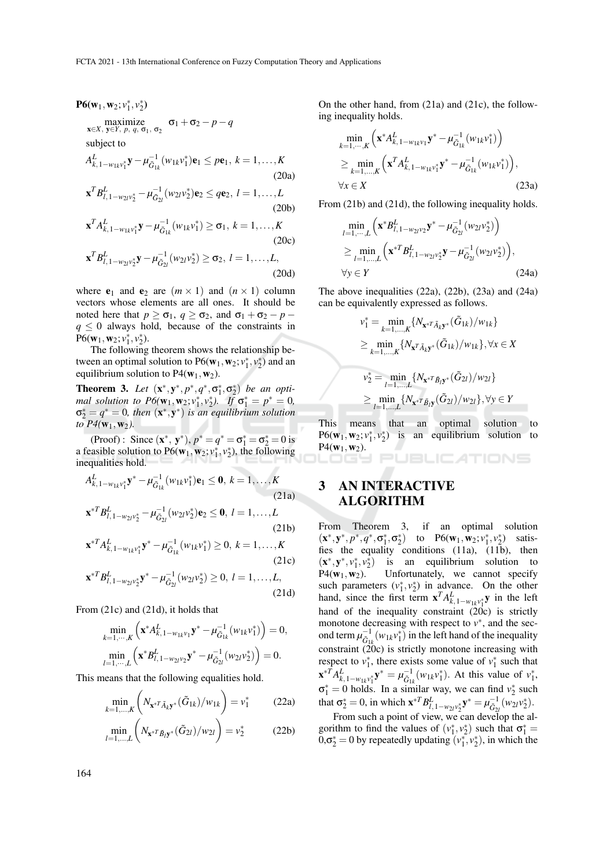**P6**(**w**<sub>1</sub>, **w**<sub>2</sub>; *v*<sub>1</sub><sup>\*</sup>, *v*<sub>2</sub><sup>\*</sup>)  
\nmaximize  
\n<sub>**x**∈*X*</sub>, <sub>**y**∈*Y*</sub>, *p*, *q*, σ<sub>1</sub>, σ<sub>2</sub> σ1 + σ<sub>2</sub> − *p* − *q*  
\nsubject to  
\n
$$
A_{k,1-w_{1k}v_{1}^{*}}^{L} y − μ_{G_{1k}}^{-1}(w_{1k}v_{1}^{*})e1 ≤ pe1, k = 1,...,K (20a)\n
$$
xTB_{l,1-w_{2l}v_{2}^{*}}^{L} − μ_{G_{2l}}^{-1}(w_{2l}v_{2}^{*})e2 ≤ qe2, l = 1,...,L (20b)\n
$$
xTA_{k,1-w_{1k}v_{1}^{*}}^{L} y − μ_{G_{1k}}^{-1}(w_{1k}v_{1}^{*}) ≥ σ1, k = 1,...,K (20c)
$$
$$
$$

$$
\mathbf{x}^T B_{l,1-w_{2l}v_2^*}^L \mathbf{y} - \mu_{\tilde{G}_{2l}}^{-1}(w_{2l}v_2^*) \ge \sigma_2, \ l = 1,\ldots,L,
$$
\n(20d)

where  $e_1$  and  $e_2$  are  $(m \times 1)$  and  $(n \times 1)$  column vectors whose elements are all ones. It should be noted here that  $p \geq \sigma_1$ ,  $q \geq \sigma_2$ , and  $\sigma_1 + \sigma_2 - p$  $q \leq 0$  always hold, because of the constraints in  $P6(w_1, w_2; v_1^*, v_2^*).$ 

The following theorem shows the relationship between an optimal solution to  $P6(w_1, w_2; v_1^*, v_2^*)$  and an equilibrium solution to  $P4(\mathbf{w}_1,\mathbf{w}_2)$ .

**Theorem 3.** Let  $(x^*, y^*, p^*, q^*, \sigma_1^*, \sigma_2^*)$  be an opti*mal solution to P6*( $w_1, w_2; v_1^*, v_2^*$ ). If  $\sigma_1^* = p^* = 0$ ,  $\sigma_2^* = q^* = 0$ , then  $(x^*, y^*)$  *is an equilibrium solution to*  $P4({\bf w}_1,{\bf w}_2)$ .

(Proof): Since  $(x^*, y^*)$ ,  $p^* = q^* = \sigma_1^* = \sigma_2^* = 0$  is a feasible solution to  $P6(w_1, w_2; v_1^*, v_2^*)$ , the following inequalities hold.

$$
A_{k,1-w_{1k}v_{1}^{*}}^{L} \mathbf{y}^{*} - \mu_{\tilde{G}_{1k}}^{-1} (w_{1k}v_{1}^{*}) \mathbf{e}_{1} \leq \mathbf{0}, k = 1,...,K
$$
\n(21a)\n
$$
\mathbf{x}^{*T} B_{l,1-w_{2l}v_{2}^{*}}^{L} - \mu_{\tilde{G}_{2l}}^{-1} (w_{2l}v_{2}^{*}) \mathbf{e}_{2} \leq \mathbf{0}, l = 1,...,L
$$
\n(21b)

$$
\mathbf{x}^{*T} A_{k,1-w_{1k}v_1^*}^L \mathbf{y}^* - \mu_{\tilde{G}_{1k}}^{-1}(w_{1k}v_1^*) \ge 0, k = 1,...,K
$$
\n(21c)

$$
\mathbf{x}^{*T} B_{l, 1 - w_{2l} v_2^*}^L \mathbf{y}^* - \mu_{\tilde{G}_{2l}}^{-1} (w_{2l} v_2^*) \ge 0, l = 1, ..., L,
$$
\n(21d)

From (21c) and (21d), it holds that

$$
\min_{k=1,\cdots,K} \left( \mathbf{x}^* A_{k,1-w_{1k}v_1}^L \mathbf{y}^* - \mu_{\tilde{G}_{1k}}^{-1} (w_{1k}v_1^*) \right) = 0,
$$
  

$$
\min_{l=1,\cdots,L} \left( \mathbf{x}^* B_{l,1-w_{2l}v_2}^L \mathbf{y}^* - \mu_{\tilde{G}_{2l}}^{-1} (w_{2l}v_2^*) \right) = 0.
$$

This means that the following equalities hold.

$$
\min_{k=1,\dots,K} \left( N_{\mathbf{x}^* T \tilde{A}_k \mathbf{y}^*} (\tilde{G}_{1k}) / w_{1k} \right) = v_1^* \tag{22a}
$$

$$
\min_{l=1,\dots,L} \left( N_{\mathbf{x}^{*T} \tilde{B}_l \mathbf{y}^*} (\tilde{G}_{2l})/w_{2l} \right) = v_2^*
$$
 (22b)

On the other hand, from (21a) and (21c), the following inequality holds.

$$
\min_{k=1,\dots,K} \left( \mathbf{x}^* A_{k,1-w_{1k}v_1}^L \mathbf{y}^* - \mu_{\tilde{G}_{1k}}^{-1} (w_{1k} v_1^*) \right) \n\geq \min_{k=1,\dots,K} \left( \mathbf{x}^T A_{k,1-w_{1k}v_1^*}^L \mathbf{y}^* - \mu_{\tilde{G}_{1k}}^{-1} (w_{1k} v_1^*) \right), \n\forall x \in X
$$
\n(23a)

From (21b) and (21d), the following inequality holds.

$$
\min_{l=1,\dots,L} \left( \mathbf{x}^* B_{l,1-w_2 \nu_2}^L \mathbf{y}^* - \mu_{G_{2l}}^{-1} (w_{2l} v_2^*) \right) \n\ge \min_{l=1,\dots,L} \left( \mathbf{x}^{*T} B_{l,1-w_2 \nu_2^*}^L \mathbf{y} - \mu_{G_{2l}}^{-1} (w_{2l} v_2^*) \right), \n\forall y \in Y
$$
\n(24a)

The above inequalities (22a), (22b), (23a) and (24a) can be equivalently expressed as follows.

$$
\begin{aligned}\nv_1^* &= \min_{k=1,\dots,K} \{ N_{\mathbf{x}^*} \tilde{\mathbf{A}}_{k\mathbf{y}^*} (\tilde{G}_{1k}) / w_{1k} \} \\
&\geq \min_{k=1,\dots,K} \{ N_{\mathbf{x}^T} \tilde{\mathbf{A}}_{k\mathbf{y}^*} (\tilde{G}_{1k}) / w_{1k} \}, \forall x \in X \\
v_2^* &= \min_{l=1,\dots,L} \{ N_{\mathbf{x}^*} \tilde{\mathbf{B}}_{l\mathbf{y}^*} (\tilde{G}_{2l}) / w_{2l} \} \\
&\geq \min_{l=1,\dots,L} \{ N_{\mathbf{x}^*} \tilde{\mathbf{B}}_{l\mathbf{y}} (\tilde{G}_{2l}) / w_{2l} \}, \forall y \in Y\n\end{aligned}
$$

This means that an optimal solution to  $P6(w_1, w_2; v_1^*, v_2^*)$ ) is an equilibrium solution to  $P4({\bf w}_1,{\bf w}_2).$ 

TIONS

## 3 AN INTERACTIVE ALGORITHM

From Theorem 3, if an optimal solution  $(\mathbf{x}^*, \mathbf{y}^*, p^*, q^*, \sigma_1^*, \sigma_2^*)$  to P6( $\mathbf{w}_1, \mathbf{w}_2; v_1^*, v_2^*$ ) satisfies the equality conditions (11a), (11b), then  $(x^*, y^*, v_1^*, v_2^*)$  is an equilibrium solution to  $P4(\mathbf{w}_1,\mathbf{w}_2)$ . Unfortunately, we cannot specify such parameters  $(v_1^*, v_2^*)$  in advance. On the other hand, since the first term  $\mathbf{x}^T A_{k,1-w_{1k}v_1^*}^L \mathbf{y}$  in the left hand of the inequality constraint (20c) is strictly monotone decreasing with respect to  $v^*$ , and the second term  $\mu_{\tilde{G}_{1k}}^{-1}(w_{1k}v_1^*)$  in the left hand of the inequality constraint (20c) is strictly monotone increasing with respect to  $v_1^*$ , there exists some value of  $v_1^*$  such that  $\mathbf{x}^{*T} A_{k,1-w_{1k}v_1^*}^{\mathbf{x}} \mathbf{y}^* = \mu_{\tilde{G}_{1k}}^{-1}(w_{1k}v_1^*)$ . At this value of  $v_1^*$ ,  $\sigma_1^* = 0$  holds. In a similar way, we can find  $v_2^*$  such that  $\sigma_2^* = 0$ , in which  $\mathbf{x}^{*T} B_{l,1-w_{2l}v_2^*}^L \mathbf{y}^* = \mu_{\tilde{G}_{2l}}^{-1}(w_{2l}v_2^*)$ .

From such a point of view, we can develop the algorithm to find the values of  $(v_1^*, v_2^*)$  such that  $\sigma_1^* =$  $0, \sigma_2^* = 0$  by repeatedly updating  $(v_1^*, v_2^*)$ , in which the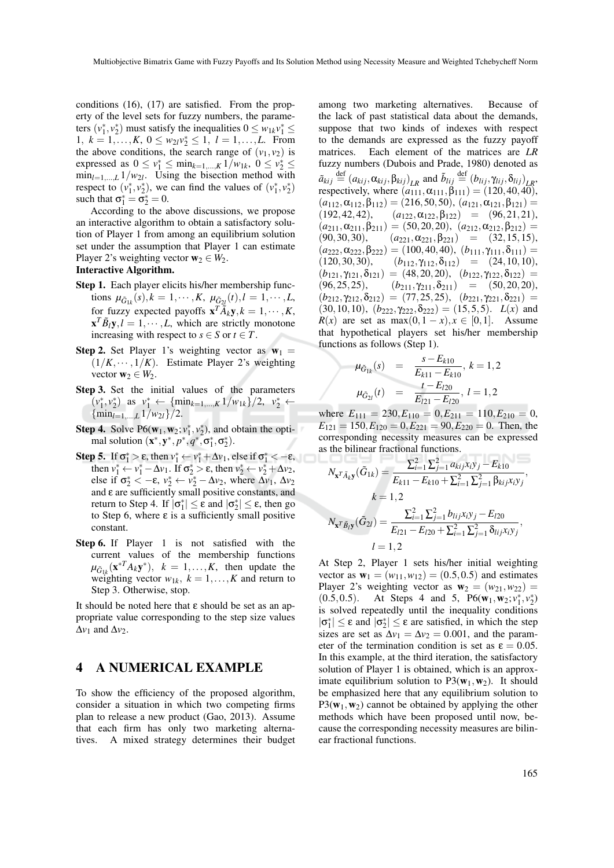conditions (16), (17) are satisfied. From the property of the level sets for fuzzy numbers, the parameters  $(v_1^*, v_2^*)$  must satisfy the inequalities  $0 \leq w_{1k}v_1^* \leq$ 1,  $k = 1, \ldots, K, 0 \le w_{2l}v_2^* \le 1, l = 1, \ldots, L$ . From the above conditions, the search range of  $(v_1, v_2)$  is expressed as  $0 \le v_1^* \le \min_{k=1,\dots,K} 1/w_{1k}, 0 \le v_2^* \le$  $\min_{l=1,\dots,L} 1/w_{2l}$ . Using the bisection method with respect to  $(v_1^*, v_2^*)$ , we can find the values of  $(v_1^*, v_2^*)$ such that  $\sigma_1^* = \sigma_2^* = 0$ .

According to the above discussions, we propose an interactive algorithm to obtain a satisfactory solution of Player 1 from among an equilibrium solution set under the assumption that Player 1 can estimate Player 2's weighting vector  $w_2 \in W_2$ .

#### Interactive Algorithm.

- Step 1. Each player elicits his/her membership functions  $\mu_{\tilde{G}_{1k}}(s), k = 1, \cdots, K, \mu_{\tilde{G}_{2l}}(t), l = 1, \cdots, L$ , for fuzzy expected payoffs  $\mathbf{x}^T \tilde{A}_k \mathbf{y}, k = 1, \dots, K$ ,  $\mathbf{x}^T \tilde{B}_l \mathbf{y}, l = 1, \cdots, L$ , which are strictly monotone increasing with respect to  $s \in S$  or  $t \in T$ .
- **Step 2.** Set Player 1's weighting vector as  $w_1$  =  $(1/K, \dots, 1/K)$ . Estimate Player 2's weighting vector  $\mathbf{w}_2 \in W_2$ .
- Step 3. Set the initial values of the parameters  $(v_1^*, v_2^*)$  as  $v_1^* \leftarrow {\{\min_{k=1,\dots,K} 1/w_{1k}\}}/{2}, v_2^* \leftarrow$  ${\min_{l=1,...,L} 1/w_{2l}}$  /2.
- **Step 4.** Solve  $P6(w_1, w_2; v_1^*, v_2^*)$ , and obtain the optimal solution  $(\mathbf{x}^*, \mathbf{y}^*, p^*, q^*, \sigma_1^*, \sigma_2^*).$
- Step 5. If  $\sigma_1^* > \varepsilon$ , then  $v_1^* \leftarrow v_1^* + \Delta v_1$ , else if  $\sigma_1^* < -\varepsilon$ , then  $v_1^* \leftarrow v_1^* - \Delta v_1$ . If  $\sigma_2^* > \varepsilon$ , then  $v_2^* \leftarrow v_2^* + \Delta v_2$ , else if  $\sigma_2^* < -\varepsilon$ ,  $v_2^* \leftarrow v_2^* - \Delta v_2$ , where  $\Delta v_1$ ,  $\Delta v_2$ and  $\varepsilon$  are sufficiently small positive constants, and return to Step 4. If  $|\sigma_1^*| \leq \varepsilon$  and  $|\sigma_2^*| \leq \varepsilon$ , then go to Step 6, where ε is a sufficiently small positive constant.
- Step 6. If Player 1 is not satisfied with the current values of the membership functions  $\mu_{\tilde{G}_{1k}}(\mathbf{x}^{*T}A_k\mathbf{y}^*)$ ,  $k = 1,...,K$ , then update the weighting vector  $w_{1k}$ ,  $k = 1,...,K$  and return to Step 3. Otherwise, stop.

It should be noted here that  $\varepsilon$  should be set as an appropriate value corresponding to the step size values  $\Delta v_1$  and  $\Delta v_2$ .

#### 4 A NUMERICAL EXAMPLE

To show the efficiency of the proposed algorithm, consider a situation in which two competing firms plan to release a new product (Gao, 2013). Assume that each firm has only two marketing alternatives. A mixed strategy determines their budget among two marketing alternatives. Because of the lack of past statistical data about the demands, suppose that two kinds of indexes with respect to the demands are expressed as the fuzzy payoff matrices. Each element of the matrices are *LR* fuzzy numbers (Dubois and Prade, 1980) denoted as  $\tilde{a}_{kij} \stackrel{\text{def}}{=} (a_{kij}, \alpha_{kij}, \beta_{kij})_{LR}$  and  $\tilde{b}_{lij} \stackrel{\text{def}}{=} (b_{lij}, \gamma_{lij}, \delta_{lij})_{LR}$ respectively, where  $(a_{111}, a_{111}, \beta_{111}) = (120, 40, 40),$  $(a_{112}, \alpha_{112}, \beta_{112}) = (216, 50, 50), (a_{121}, \alpha_{121}, \beta_{121}) =$  $(192, 42, 42), \quad (a_{122}, \alpha_{122}, \beta_{122}) = (96, 21, 21),$  $(a_{211}, a_{211}, \beta_{211}) = (50, 20, 20), (a_{212}, a_{212}, \beta_{212}) =$ (90,30,30),  $(a_{221}, a_{221}, \beta_{221}) = (32, 15, 15)$ ,  $(a_{222}, a_{222}, \beta_{222}) = (100, 40, 40), (b_{111}, \gamma_{111}, \delta_{111}) =$  $(120,30,30),$   $(b_{112}, \gamma_{112}, \delta_{112}) = (24,10,10),$  $(b_{121}, \gamma_{121}, \delta_{121}) = (48, 20, 20), (b_{122}, \gamma_{122}, \delta_{122}) =$  $(96, 25, 25),$   $(b_{211}, \gamma_{211}, \delta_{211}) = (50, 20, 20),$  $(b_{212}, \gamma_{212}, \delta_{212}) = (77, 25, 25), (b_{221}, \gamma_{221}, \delta_{221}) =$ (30, 10, 10),  $(b_{222}, \gamma_{222}, \delta_{222}) = (15, 5, 5)$ .  $L(x)$  and  $R(x)$  are set as max $(0, 1-x)$ ,  $x \in [0,1]$ . Assume that hypothetical players set his/her membership functions as follows (Step 1).

$$
\mu_{\tilde{G}_{1k}}(s) = \frac{s - E_{k10}}{E_{k11} - E_{k10}}, k = 1, 2
$$
  

$$
\mu_{\tilde{G}_{2l}}(t) = \frac{t - E_{l20}}{E_{l21} - E_{l20}}, l = 1, 2
$$

where  $E_{111} = 230, E_{110} = 0, E_{211} = 110, E_{210} = 0$ ,  $E_{121} = 150, E_{120} = 0, E_{221} = 90, E_{220} = 0$ . Then, the corresponding necessity measures can be expressed as the bilinear fractional functions.

$$
N_{\mathbf{x}^T \tilde{A}_k \mathbf{y}}(\tilde{G}_{1k}) = \frac{\sum_{i=1}^2 \sum_{j=1}^2 a_{kij} x_i y_j - E_{k10}}{E_{k11} - E_{k10} + \sum_{i=1}^2 \sum_{j=1}^2 \beta_{kij} x_i y_j},
$$
  
\n
$$
k = 1, 2
$$
  
\n
$$
N_{\mathbf{x}^T \tilde{B}_l \mathbf{y}}(\tilde{G}_{2l}) = \frac{\sum_{i=1}^2 \sum_{j=1}^2 b_{lij} x_i y_j - E_{l20}}{E_{l21} - E_{l20} + \sum_{i=1}^2 \sum_{j=1}^2 \delta_{lij} x_i y_j},
$$
  
\n
$$
l = 1, 2
$$

At Step 2, Player 1 sets his/her initial weighting vector as  $w_1 = (w_{11}, w_{12}) = (0.5, 0.5)$  and estimates Player 2's weighting vector as  $w_2 = (w_{21}, w_{22}) =$ (0.5,0.5). At Steps 4 and 5,  $P6(w_1, w_2; v_1^*, v_2^*)$ is solved repeatedly until the inequality conditions  $|\sigma_1^*| \leq \varepsilon$  and  $|\sigma_2^*| \leq \varepsilon$  are satisfied, in which the step sizes are set as  $\Delta v_1 = \Delta v_2 = 0.001$ , and the parameter of the termination condition is set as  $\varepsilon = 0.05$ . In this example, at the third iteration, the satisfactory solution of Player 1 is obtained, which is an approximate equilibrium solution to  $P3(w_1, w_2)$ . It should be emphasized here that any equilibrium solution to  $P3(\mathbf{w}_1,\mathbf{w}_2)$  cannot be obtained by applying the other methods which have been proposed until now, because the corresponding necessity measures are bilinear fractional functions.